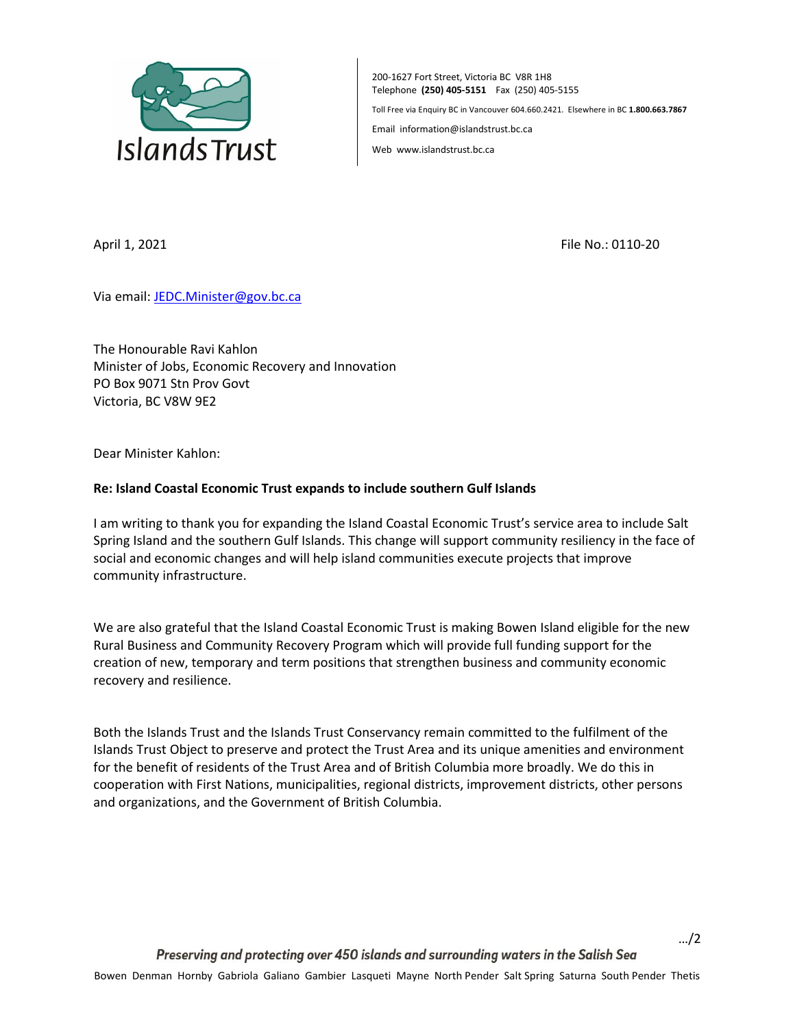

200-1627 Fort Street, Victoria BC V8R 1H8 Telephone **(250) 405-5151** Fax (250) 405-5155 Toll Free via Enquiry BC in Vancouver 604.660.2421. Elsewhere in BC **1.800.663.7867**

Email information@islandstrust.bc.ca

Web www.islandstrust.bc.ca

April 1, 2021 **File No.: 0110-20** 

Via email[: JEDC.Minister@gov.bc.ca](mailto:JEDC.Minister@gov.bc.ca)

The Honourable Ravi Kahlon Minister of Jobs, Economic Recovery and Innovation PO Box 9071 Stn Prov Govt Victoria, BC V8W 9E2

Dear Minister Kahlon:

## **Re: Island Coastal Economic Trust expands to include southern Gulf Islands**

I am writing to thank you for expanding the Island Coastal Economic Trust's service area to include Salt Spring Island and the southern Gulf Islands. This change will support community resiliency in the face of social and economic changes and will help island communities execute projects that improve community infrastructure.

We are also grateful that the Island Coastal Economic Trust is making Bowen Island eligible for the new Rural Business and Community Recovery Program which will provide full funding support for the creation of new, temporary and term positions that strengthen business and community economic recovery and resilience.

Both the Islands Trust and the Islands Trust Conservancy remain committed to the fulfilment of the Islands Trust Object to preserve and protect the Trust Area and its unique amenities and environment for the benefit of residents of the Trust Area and of British Columbia more broadly. We do this in cooperation with First Nations, municipalities, regional districts, improvement districts, other persons and organizations, and the Government of British Columbia.